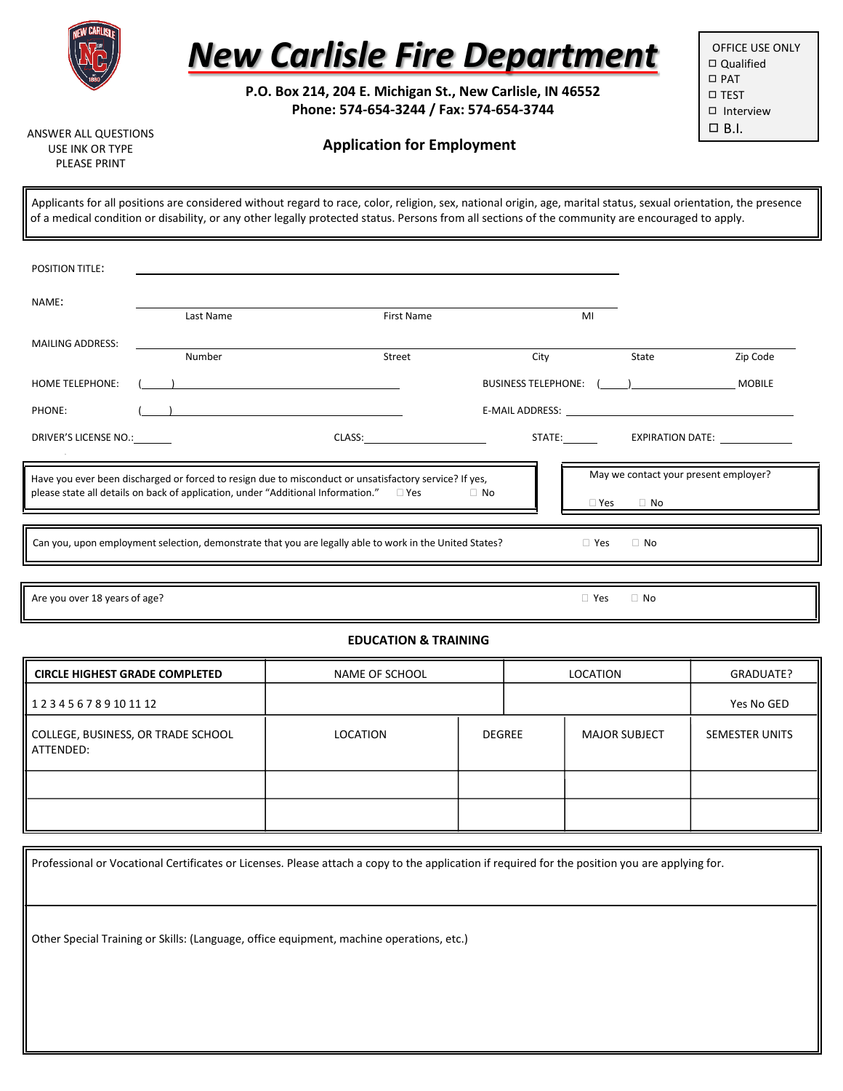

# *New Carlisle Fire Department*

**P.O. Box 214, 204 E. Michigan St., New Carlisle, IN 46552 Phone: 574-654-3244 / Fax: 574-654-3744**

OFFICE USE ONLY ◻ Qualified ◻ PAT ◻ TEST ◻ Interview  $\Box$  B.I.

ANSWER ALL QUESTIONS USE INK OR TYPE PLEASE PRINT

## **Application for Employment**

Applicants for all positions are considered without regard to race, color, religion, sex, national origin, age, marital status, sexual orientation, the presence of a medical condition or disability, or any other legally protected status. Persons from all sections of the community are encouraged to apply.

| <b>POSITION TITLE:</b>                                                                                                                                                                                                                                                                   |           |                     |                            |                                           |  |  |  |
|------------------------------------------------------------------------------------------------------------------------------------------------------------------------------------------------------------------------------------------------------------------------------------------|-----------|---------------------|----------------------------|-------------------------------------------|--|--|--|
| NAME:                                                                                                                                                                                                                                                                                    |           |                     |                            |                                           |  |  |  |
| <b>MAILING ADDRESS:</b>                                                                                                                                                                                                                                                                  | Last Name | First Name          | MI                         |                                           |  |  |  |
|                                                                                                                                                                                                                                                                                          | Number    | Street              | City                       | Zip Code<br>State                         |  |  |  |
| <b>HOME TELEPHONE:</b>                                                                                                                                                                                                                                                                   |           |                     | <b>BUSINESS TELEPHONE:</b> | <b>MOBILE</b><br>$\overline{\phantom{a}}$ |  |  |  |
| PHONE:                                                                                                                                                                                                                                                                                   |           |                     |                            |                                           |  |  |  |
| DRIVER'S LICENSE NO.:                                                                                                                                                                                                                                                                    |           | CLASS: Example 2014 | STATE:_________            | <b>EXPIRATION DATE:</b>                   |  |  |  |
| May we contact your present employer?<br>Have you ever been discharged or forced to resign due to misconduct or unsatisfactory service? If yes,<br>please state all details on back of application, under "Additional Information." $\square$ Yes<br>$\Box$ No<br>$\Box$ No<br>Yes<br>×. |           |                     |                            |                                           |  |  |  |
|                                                                                                                                                                                                                                                                                          |           |                     |                            |                                           |  |  |  |
| Can you, upon employment selection, demonstrate that you are legally able to work in the United States?<br>$\Box$ No<br>$\Box$ Yes                                                                                                                                                       |           |                     |                            |                                           |  |  |  |
|                                                                                                                                                                                                                                                                                          |           |                     |                            |                                           |  |  |  |

Are you over 18 years of age?  $\Box$  No

### **EDUCATION & TRAINING**

| NAME OF SCHOOL<br><b>CIRCLE HIGHEST GRADE COMPLETED</b> |          | LOCATION |  | GRADUATE?            |                |
|---------------------------------------------------------|----------|----------|--|----------------------|----------------|
| 123456789101112                                         |          |          |  |                      | Yes No GED     |
| COLLEGE, BUSINESS, OR TRADE SCHOOL<br>ATTENDED:         | LOCATION | DEGREE   |  | <b>MAJOR SUBJECT</b> | SEMESTER UNITS |
|                                                         |          |          |  |                      |                |
|                                                         |          |          |  |                      |                |

Professional or Vocational Certificates or Licenses. Please attach a copy to the application if required for the position you are applying for. Other Special Training or Skills: (Language, office equipment, machine operations, etc.)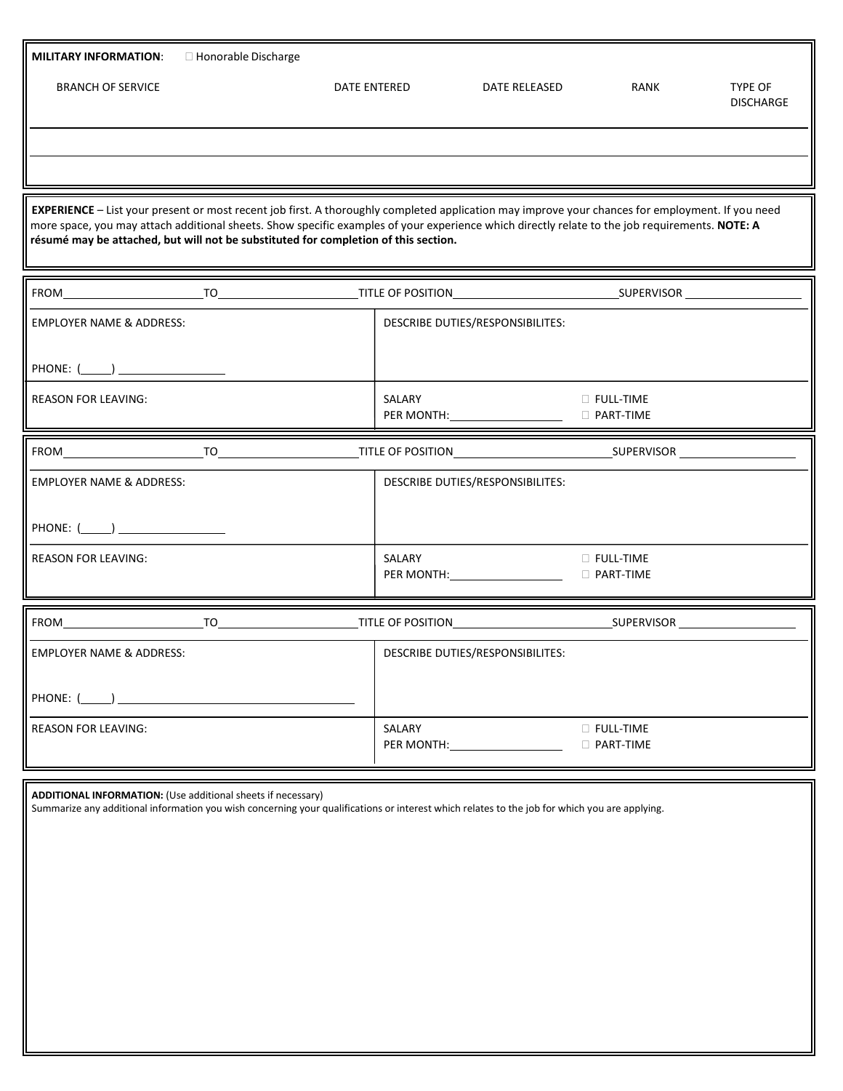| <b>MILITARY INFORMATION:</b><br>□ Honorable Discharge                                                                                                                                                                                                                                                                                                                                     |                                  |               |                                        |                             |  |  |  |  |  |
|-------------------------------------------------------------------------------------------------------------------------------------------------------------------------------------------------------------------------------------------------------------------------------------------------------------------------------------------------------------------------------------------|----------------------------------|---------------|----------------------------------------|-----------------------------|--|--|--|--|--|
| <b>BRANCH OF SERVICE</b>                                                                                                                                                                                                                                                                                                                                                                  | DATE ENTERED                     | DATE RELEASED | RANK                                   | TYPE OF<br><b>DISCHARGE</b> |  |  |  |  |  |
|                                                                                                                                                                                                                                                                                                                                                                                           |                                  |               |                                        |                             |  |  |  |  |  |
|                                                                                                                                                                                                                                                                                                                                                                                           |                                  |               |                                        |                             |  |  |  |  |  |
| EXPERIENCE - List your present or most recent job first. A thoroughly completed application may improve your chances for employment. If you need<br>more space, you may attach additional sheets. Show specific examples of your experience which directly relate to the job requirements. NOTE: A<br>résumé may be attached, but will not be substituted for completion of this section. |                                  |               |                                        |                             |  |  |  |  |  |
|                                                                                                                                                                                                                                                                                                                                                                                           |                                  |               |                                        |                             |  |  |  |  |  |
| <b>EMPLOYER NAME &amp; ADDRESS:</b>                                                                                                                                                                                                                                                                                                                                                       | DESCRIBE DUTIES/RESPONSIBILITES: |               |                                        |                             |  |  |  |  |  |
| PHONE: $(\_\_)$                                                                                                                                                                                                                                                                                                                                                                           |                                  |               |                                        |                             |  |  |  |  |  |
| <b>REASON FOR LEAVING:</b>                                                                                                                                                                                                                                                                                                                                                                | SALARY                           |               | $\Box$ Full-time<br>D PART-TIME        |                             |  |  |  |  |  |
|                                                                                                                                                                                                                                                                                                                                                                                           |                                  |               |                                        |                             |  |  |  |  |  |
| <b>EMPLOYER NAME &amp; ADDRESS:</b>                                                                                                                                                                                                                                                                                                                                                       | DESCRIBE DUTIES/RESPONSIBILITES: |               |                                        |                             |  |  |  |  |  |
| PHONE: (_____) __________________                                                                                                                                                                                                                                                                                                                                                         |                                  |               |                                        |                             |  |  |  |  |  |
| <b>REASON FOR LEAVING:</b>                                                                                                                                                                                                                                                                                                                                                                | SALARY                           |               | $\Box$ Full-time<br>D PART-TIME        |                             |  |  |  |  |  |
|                                                                                                                                                                                                                                                                                                                                                                                           |                                  |               |                                        |                             |  |  |  |  |  |
| <b>EMPLOYER NAME &amp; ADDRESS:</b>                                                                                                                                                                                                                                                                                                                                                       | DESCRIBE DUTIES/RESPONSIBILITES: |               |                                        |                             |  |  |  |  |  |
| PHONE: (                                                                                                                                                                                                                                                                                                                                                                                  |                                  |               |                                        |                             |  |  |  |  |  |
| <b>REASON FOR LEAVING:</b>                                                                                                                                                                                                                                                                                                                                                                | SALARY<br>PER MONTH:             |               | <b>D</b> FULL-TIME<br>$\Box$ PART-TIME |                             |  |  |  |  |  |

**ADDITIONAL INFORMATION:** (Use additional sheets if necessary)

Summarize any additional information you wish concerning your qualifications or interest which relates to the job for which you are applying.